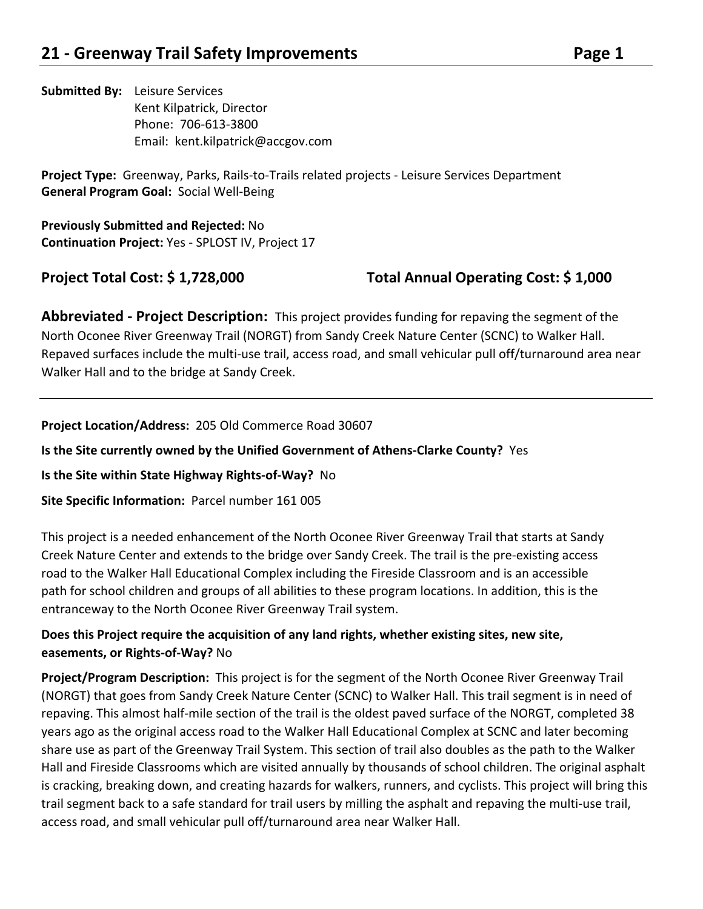**Submitted By:**  Leisure Services Kent Kilpatrick, Director Phone: 706‐613‐3800 Email: kent.kilpatrick@accgov.com

Project Type: Greenway, Parks, Rails-to-Trails related projects - Leisure Services Department **General Program Goal:** Social Well‐Being

**Previously Submitted and Rejected:** No **Continuation Project:** Yes ‐ SPLOST IV, Project 17

## **Project Total Cost: \$ 1,728,000 Total Annual Operating Cost: \$ 1,000**

**Abbreviated - Project Description:** This project provides funding for repaving the segment of the North Oconee River Greenway Trail (NORGT) from Sandy Creek Nature Center (SCNC) to Walker Hall. Repaved surfaces include the multi‐use trail, access road, and small vehicular pull off/turnaround area near Walker Hall and to the bridge at Sandy Creek.

**Project Location/Address:** 205 Old Commerce Road 30607

**Is the Site currently owned by the Unified Government of Athens-Clarke County?** Yes

**Is the Site within State Highway Rights‐of‐Way?** No

Site Specific Information: Parcel number 161 005

This project is a needed enhancement of the North Oconee River Greenway Trail that starts at Sandy Creek Nature Center and extends to the bridge over Sandy Creek. The trail is the pre‐existing access road to the Walker Hall Educational Complex including the Fireside Classroom and is an accessible path for school children and groups of all abilities to these program locations. In addition, this is the entranceway to the North Oconee River Greenway Trail system.

### **Does this Project require the acquisition of any land rights, whether existing sites, new site, easements, or Rights‐of‐Way?** No

**Project/Program Description:**  This project is for the segment of the North Oconee River Greenway Trail (NORGT) that goes from Sandy Creek Nature Center (SCNC) to Walker Hall. This trail segment is in need of repaving. This almost half‐mile section of the trail is the oldest paved surface of the NORGT, completed 38 years ago as the original access road to the Walker Hall Educational Complex at SCNC and later becoming share use as part of the Greenway Trail System. This section of trail also doubles as the path to the Walker Hall and Fireside Classrooms which are visited annually by thousands of school children. The original asphalt is cracking, breaking down, and creating hazards for walkers, runners, and cyclists. This project will bring this trail segment back to a safe standard for trail users by milling the asphalt and repaving the multi‐use trail, access road, and small vehicular pull off/turnaround area near Walker Hall.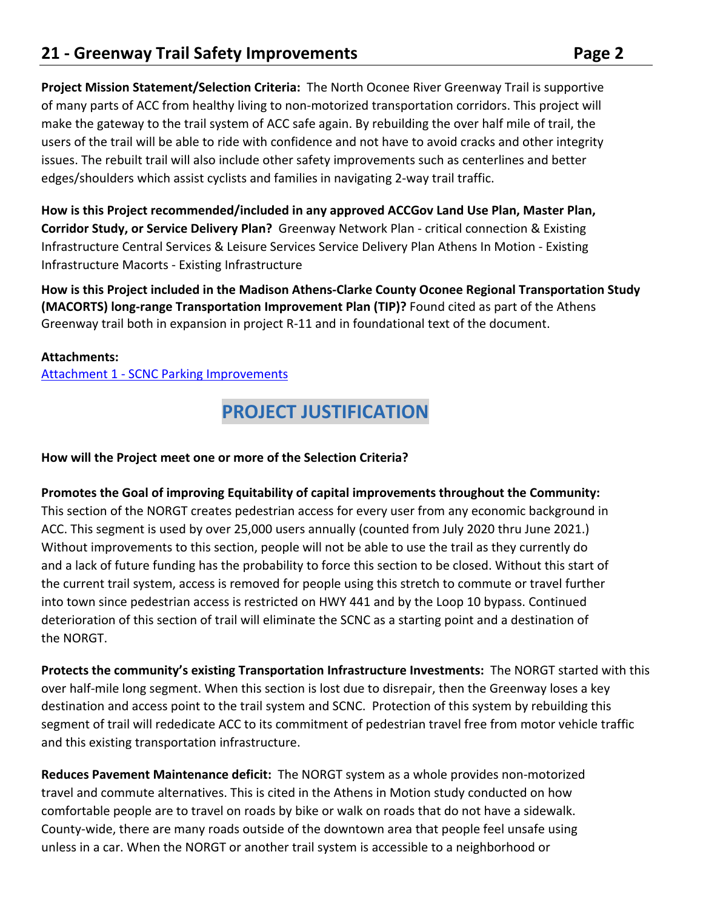**Project Mission Statement/Selection Criteria:** The North Oconee River Greenway Trail is supportive of many parts of ACC from healthy living to non‐motorized transportation corridors. This project will make the gateway to the trail system of ACC safe again. By rebuilding the over half mile of trail, the users of the trail will be able to ride with confidence and not have to avoid cracks and other integrity issues. The rebuilt trail will also include other safety improvements such as centerlines and better edges/shoulders which assist cyclists and families in navigating 2‐way trail traffic.

**How is this Project recommended/included in any approved ACCGov Land Use Plan, Master Plan, Corridor Study, or Service Delivery Plan?** Greenway Network Plan - critical connection & Existing Infrastructure Central Services & Leisure Services Service Delivery Plan Athens In Motion ‐ Existing Infrastructure Macorts ‐ Existing Infrastructure

**How is this Project included in the Madison Athens‐Clarke County Oconee Regional Transportation Study (MACORTS) long‐range Transportation Improvement Plan (TIP)?** Found cited as part of the Athens Greenway trail both in expansion in project R‐11 and in foundational text of the document.

#### **Attachments:**

Attachment 1 ‐ SCNC Parking Improvements

## **PROJECT JUSTIFICATION**

#### **How will the Project meet one or more of the Selection Criteria?**

**Promotes the Goal of improving Equitability of capital improvements throughout the Community:**  This section of the NORGT creates pedestrian access for every user from any economic background in ACC. This segment is used by over 25,000 users annually (counted from July 2020 thru June 2021.) Without improvements to this section, people will not be able to use the trail as they currently do and a lack of future funding has the probability to force this section to be closed. Without this start of the current trail system, access is removed for people using this stretch to commute or travel further into town since pedestrian access is restricted on HWY 441 and by the Loop 10 bypass. Continued deterioration of this section of trail will eliminate the SCNC as a starting point and a destination of the NORGT.

**Protects the community's existing Transportation Infrastructure Investments:** The NORGT started with this over half‐mile long segment. When this section is lost due to disrepair, then the Greenway loses a key destination and access point to the trail system and SCNC. Protection of this system by rebuilding this segment of trail will rededicate ACC to its commitment of pedestrian travel free from motor vehicle traffic and this existing transportation infrastructure.

**Reduces Pavement Maintenance deficit:** The NORGT system as a whole provides non‐motorized travel and commute alternatives. This is cited in the Athens in Motion study conducted on how comfortable people are to travel on roads by bike or walk on roads that do not have a sidewalk. County‐wide, there are many roads outside of the downtown area that people feel unsafe using unless in a car. When the NORGT or another trail system is accessible to a neighborhood or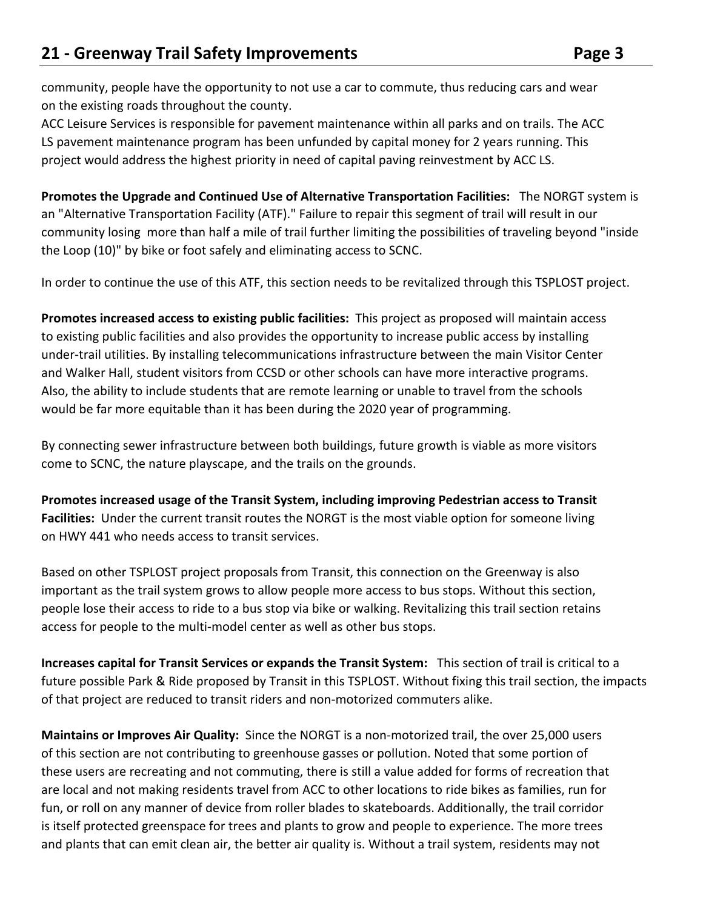community, people have the opportunity to not use a car to commute, thus reducing cars and wear on the existing roads throughout the county.

ACC Leisure Services is responsible for pavement maintenance within all parks and on trails. The ACC LS pavement maintenance program has been unfunded by capital money for 2 years running. This project would address the highest priority in need of capital paving reinvestment by ACC LS.

**Promotes the Upgrade and Continued Use of Alternative Transportation Facilities:**  The NORGT system is an "Alternative Transportation Facility (ATF)." Failure to repair this segment of trail will result in our community losing more than half a mile of trail further limiting the possibilities of traveling beyond "inside the Loop (10)" by bike or foot safely and eliminating access to SCNC.

In order to continue the use of this ATF, this section needs to be revitalized through this TSPLOST project.

**Promotes increased access to existing public facilities:** This project as proposed will maintain access to existing public facilities and also provides the opportunity to increase public access by installing under‐trail utilities. By installing telecommunications infrastructure between the main Visitor Center and Walker Hall, student visitors from CCSD or other schools can have more interactive programs. Also, the ability to include students that are remote learning or unable to travel from the schools would be far more equitable than it has been during the 2020 year of programming.

By connecting sewer infrastructure between both buildings, future growth is viable as more visitors come to SCNC, the nature playscape, and the trails on the grounds.

**Promotes increased usage of the Transit System, including improving Pedestrian access to Transit Facilities:** Under the current transit routes the NORGT is the most viable option for someone living on HWY 441 who needs access to transit services.

Based on other TSPLOST project proposals from Transit, this connection on the Greenway is also important as the trail system grows to allow people more access to bus stops. Without this section, people lose their access to ride to a bus stop via bike or walking. Revitalizing this trail section retains access for people to the multi‐model center as well as other bus stops.

**Increases capital for Transit Services or expands the Transit System:**  This section of trail is critical to a future possible Park & Ride proposed by Transit in this TSPLOST. Without fixing this trail section, the impacts of that project are reduced to transit riders and non‐motorized commuters alike.

**Maintains or Improves Air Quality:** Since the NORGT is a non-motorized trail, the over 25,000 users of this section are not contributing to greenhouse gasses or pollution. Noted that some portion of these users are recreating and not commuting, there is still a value added for forms of recreation that are local and not making residents travel from ACC to other locations to ride bikes as families, run for fun, or roll on any manner of device from roller blades to skateboards. Additionally, the trail corridor is itself protected greenspace for trees and plants to grow and people to experience. The more trees and plants that can emit clean air, the better air quality is. Without a trail system, residents may not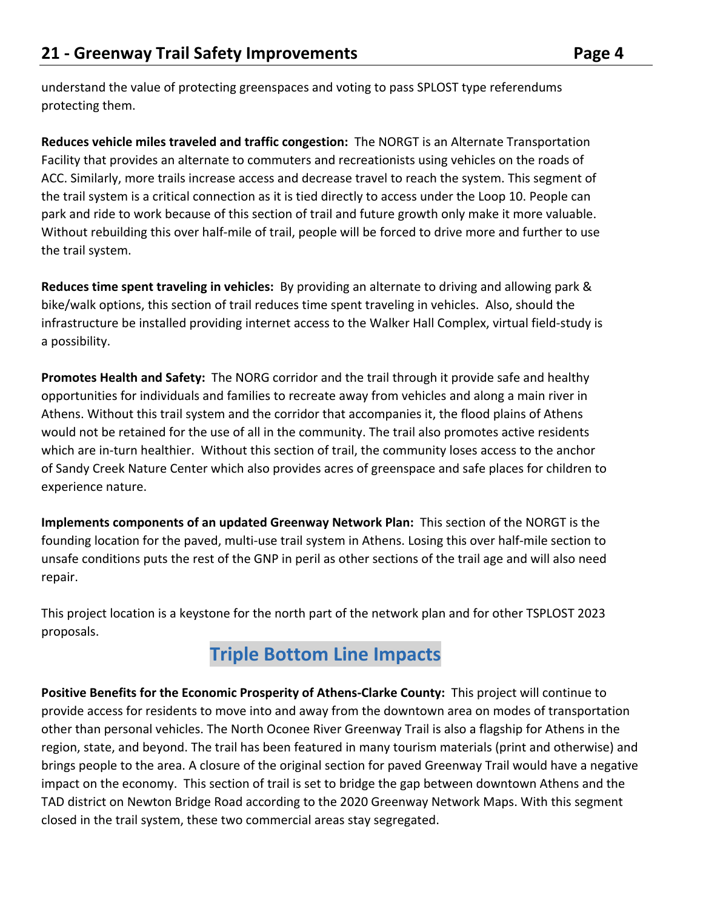understand the value of protecting greenspaces and voting to pass SPLOST type referendums protecting them.

**Reduces vehicle miles traveled and traffic congestion:** The NORGT is an Alternate Transportation Facility that provides an alternate to commuters and recreationists using vehicles on the roads of ACC. Similarly, more trails increase access and decrease travel to reach the system. This segment of the trail system is a critical connection as it is tied directly to access under the Loop 10. People can park and ride to work because of this section of trail and future growth only make it more valuable. Without rebuilding this over half‐mile of trail, people will be forced to drive more and further to use the trail system.

**Reduces time spent traveling in vehicles:** By providing an alternate to driving and allowing park & bike/walk options, this section of trail reduces time spent traveling in vehicles. Also, should the infrastructure be installed providing internet access to the Walker Hall Complex, virtual field‐study is a possibility.

Promotes Health and Safety: The NORG corridor and the trail through it provide safe and healthy opportunities for individuals and families to recreate away from vehicles and along a main river in Athens. Without this trail system and the corridor that accompanies it, the flood plains of Athens would not be retained for the use of all in the community. The trail also promotes active residents which are in-turn healthier. Without this section of trail, the community loses access to the anchor of Sandy Creek Nature Center which also provides acres of greenspace and safe places for children to experience nature.

**Implements components of an updated Greenway Network Plan:** This section of the NORGT is the founding location for the paved, multi‐use trail system in Athens. Losing this over half‐mile section to unsafe conditions puts the rest of the GNP in peril as other sections of the trail age and will also need repair.

This project location is a keystone for the north part of the network plan and for other TSPLOST 2023 proposals.

## **Triple Bottom Line Impacts**

**Positive Benefits for the Economic Prosperity of Athens‐Clarke County:** This project will continue to provide access for residents to move into and away from the downtown area on modes of transportation other than personal vehicles. The North Oconee River Greenway Trail is also a flagship for Athens in the region, state, and beyond. The trail has been featured in many tourism materials (print and otherwise) and brings people to the area. A closure of the original section for paved Greenway Trail would have a negative impact on the economy. This section of trail is set to bridge the gap between downtown Athens and the TAD district on Newton Bridge Road according to the 2020 Greenway Network Maps. With this segment closed in the trail system, these two commercial areas stay segregated.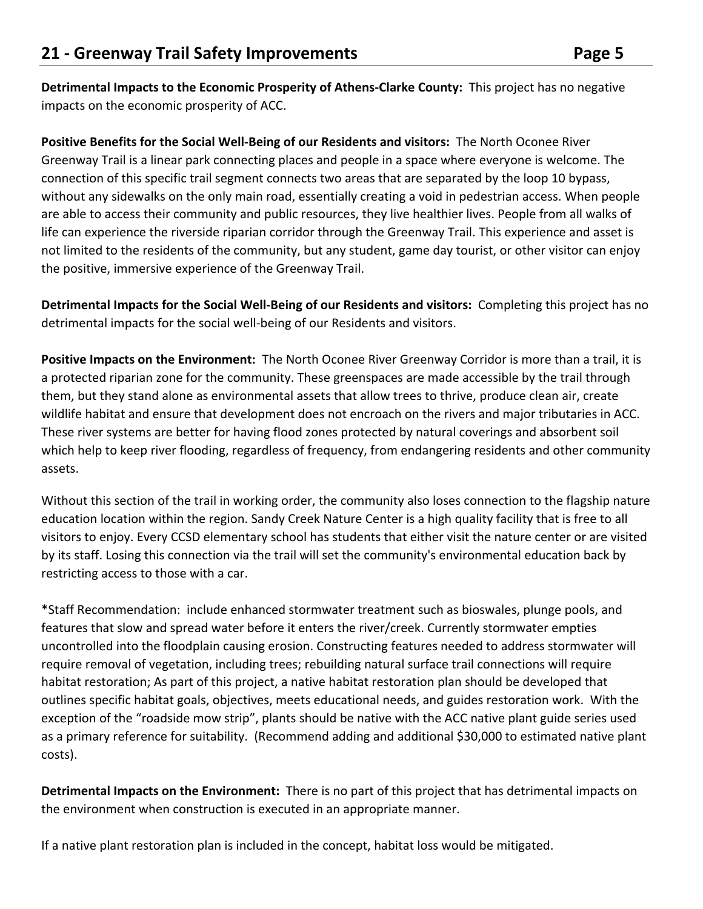**Detrimental Impacts to the Economic Prosperity of Athens‐Clarke County:** This project has no negative impacts on the economic prosperity of ACC.

**Positive Benefits for the Social Well‐Being of our Residents and visitors:** The North Oconee River Greenway Trail is a linear park connecting places and people in a space where everyone is welcome. The connection of this specific trail segment connects two areas that are separated by the loop 10 bypass, without any sidewalks on the only main road, essentially creating a void in pedestrian access. When people are able to access their community and public resources, they live healthier lives. People from all walks of life can experience the riverside riparian corridor through the Greenway Trail. This experience and asset is not limited to the residents of the community, but any student, game day tourist, or other visitor can enjoy the positive, immersive experience of the Greenway Trail.

**Detrimental Impacts for the Social Well‐Being of our Residents and visitors:** Completing this project has no detrimental impacts for the social well‐being of our Residents and visitors.

Positive Impacts on the Environment: The North Oconee River Greenway Corridor is more than a trail, it is a protected riparian zone for the community. These greenspaces are made accessible by the trail through them, but they stand alone as environmental assets that allow trees to thrive, produce clean air, create wildlife habitat and ensure that development does not encroach on the rivers and major tributaries in ACC. These river systems are better for having flood zones protected by natural coverings and absorbent soil which help to keep river flooding, regardless of frequency, from endangering residents and other community assets.

Without this section of the trail in working order, the community also loses connection to the flagship nature education location within the region. Sandy Creek Nature Center is a high quality facility that is free to all visitors to enjoy. Every CCSD elementary school has students that either visit the nature center or are visited by its staff. Losing this connection via the trail will set the community's environmental education back by restricting access to those with a car.

\*Staff Recommendation: include enhanced stormwater treatment such as bioswales, plunge pools, and features that slow and spread water before it enters the river/creek. Currently stormwater empties uncontrolled into the floodplain causing erosion. Constructing features needed to address stormwater will require removal of vegetation, including trees; rebuilding natural surface trail connections will require habitat restoration; As part of this project, a native habitat restoration plan should be developed that outlines specific habitat goals, objectives, meets educational needs, and guides restoration work. With the exception of the "roadside mow strip", plants should be native with the ACC native plant guide series used as a primary reference for suitability. (Recommend adding and additional \$30,000 to estimated native plant costs).

**Detrimental Impacts on the Environment:** There is no part of this project that has detrimental impacts on the environment when construction is executed in an appropriate manner.

If a native plant restoration plan is included in the concept, habitat loss would be mitigated.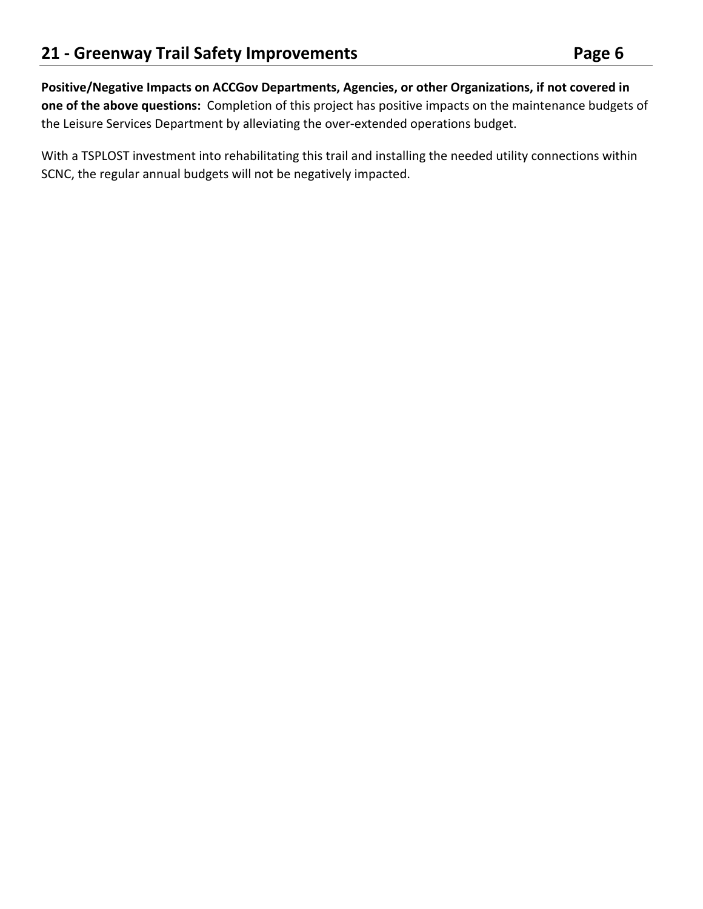**Positive/Negative Impacts on ACCGov Departments, Agencies, or other Organizations, if not covered in one of the above questions:** Completion of this project has positive impacts on the maintenance budgets of the Leisure Services Department by alleviating the over‐extended operations budget.

With a TSPLOST investment into rehabilitating this trail and installing the needed utility connections within SCNC, the regular annual budgets will not be negatively impacted.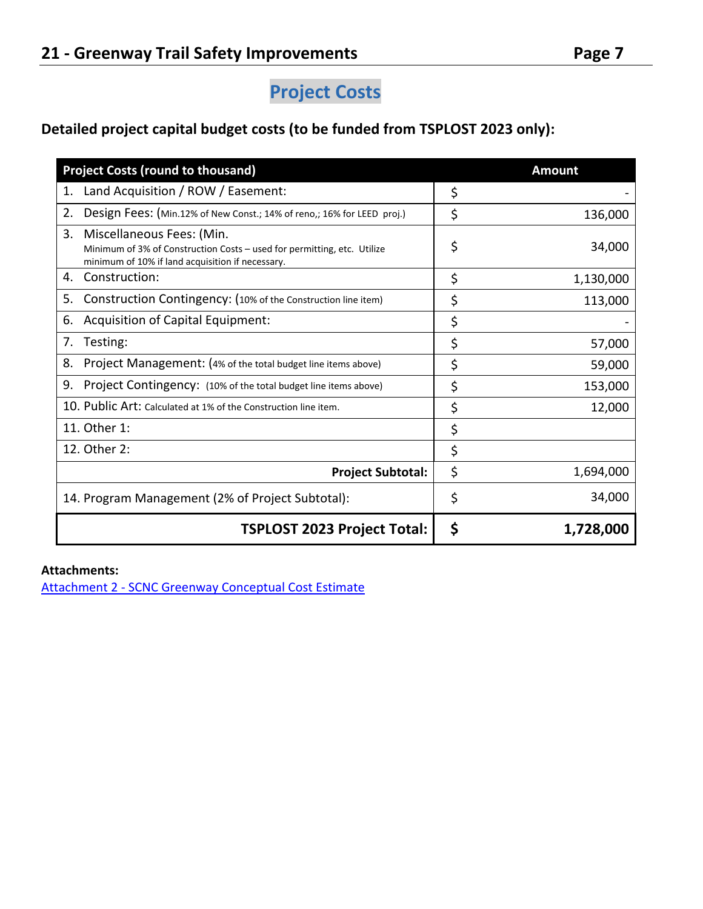## **Project Costs**

## **Detailed project capital budget costs (to be funded from TSPLOST 2023 only):**

| <b>Project Costs (round to thousand)</b>                                                                                                                       |    | <b>Amount</b> |  |
|----------------------------------------------------------------------------------------------------------------------------------------------------------------|----|---------------|--|
| Land Acquisition / ROW / Easement:<br>1.                                                                                                                       | \$ |               |  |
| 2.<br>Design Fees: (Min.12% of New Const.; 14% of reno,; 16% for LEED proj.)                                                                                   | \$ | 136,000       |  |
| 3.<br>Miscellaneous Fees: (Min.<br>Minimum of 3% of Construction Costs – used for permitting, etc. Utilize<br>minimum of 10% if land acquisition if necessary. | \$ | 34,000        |  |
| Construction:<br>4.                                                                                                                                            | \$ | 1,130,000     |  |
| 5.<br>Construction Contingency: (10% of the Construction line item)                                                                                            | \$ | 113,000       |  |
| Acquisition of Capital Equipment:<br>6.                                                                                                                        | \$ |               |  |
| 7.<br>Testing:                                                                                                                                                 | \$ | 57,000        |  |
| 8.<br>Project Management: (4% of the total budget line items above)                                                                                            | \$ | 59,000        |  |
| 9.<br>Project Contingency: (10% of the total budget line items above)                                                                                          | \$ | 153,000       |  |
| 10. Public Art: Calculated at 1% of the Construction line item.                                                                                                | \$ | 12,000        |  |
| 11. Other 1:                                                                                                                                                   | \$ |               |  |
| 12. Other 2:                                                                                                                                                   | \$ |               |  |
| <b>Project Subtotal:</b>                                                                                                                                       | \$ | 1,694,000     |  |
| 14. Program Management (2% of Project Subtotal):                                                                                                               | \$ | 34,000        |  |
| <b>TSPLOST 2023 Project Total:</b>                                                                                                                             | \$ | 1,728,000     |  |

#### **Attachments:**

Attachment 2 ‐ SCNC Greenway Conceptual Cost Estimate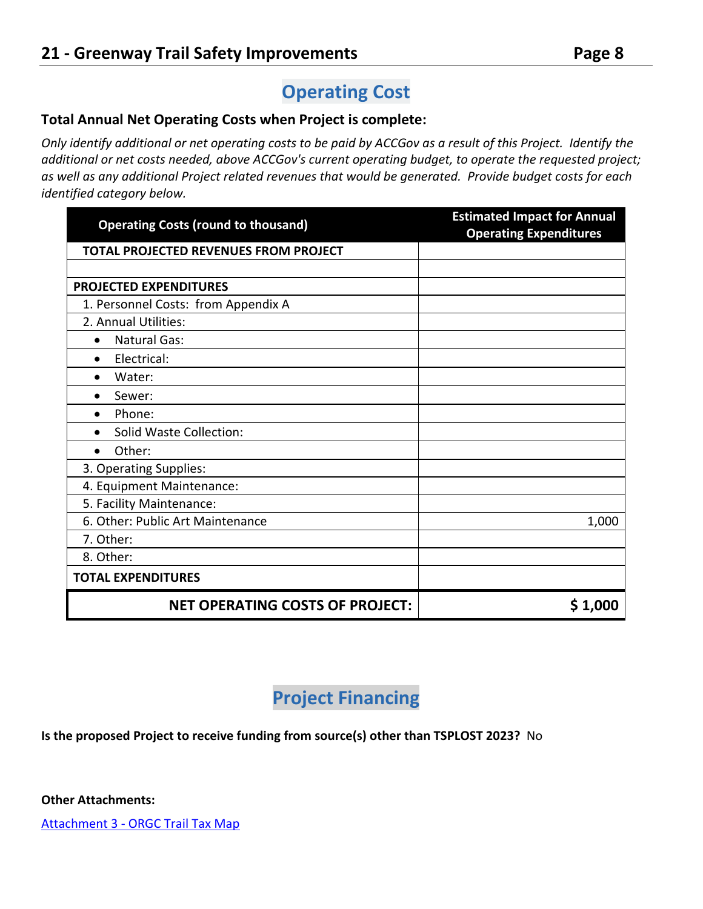# **Operating Cost**

#### **Total Annual Net Operating Costs when Project is complete:**

*Only identify additional or net operating costs to be paid by ACCGov as a result of this Project. Identify the additional or net costs needed, above ACCGov's current operating budget, to operate the requested project; as well as any additional Project related revenues that would be generated. Provide budget costs for each identified category below.* 

| <b>Operating Costs (round to thousand)</b>   | <b>Estimated Impact for Annual</b><br><b>Operating Expenditures</b> |  |  |
|----------------------------------------------|---------------------------------------------------------------------|--|--|
| <b>TOTAL PROJECTED REVENUES FROM PROJECT</b> |                                                                     |  |  |
|                                              |                                                                     |  |  |
| <b>PROJECTED EXPENDITURES</b>                |                                                                     |  |  |
| 1. Personnel Costs: from Appendix A          |                                                                     |  |  |
| 2. Annual Utilities:                         |                                                                     |  |  |
| <b>Natural Gas:</b><br>$\bullet$             |                                                                     |  |  |
| Electrical:<br>$\bullet$                     |                                                                     |  |  |
| Water:<br>$\bullet$                          |                                                                     |  |  |
| Sewer:<br>$\bullet$                          |                                                                     |  |  |
| Phone:<br>$\bullet$                          |                                                                     |  |  |
| Solid Waste Collection:<br>$\bullet$         |                                                                     |  |  |
| Other:<br>$\bullet$                          |                                                                     |  |  |
| 3. Operating Supplies:                       |                                                                     |  |  |
| 4. Equipment Maintenance:                    |                                                                     |  |  |
| 5. Facility Maintenance:                     |                                                                     |  |  |
| 6. Other: Public Art Maintenance             | 1,000                                                               |  |  |
| 7. Other:                                    |                                                                     |  |  |
| 8. Other:                                    |                                                                     |  |  |
| <b>TOTAL EXPENDITURES</b>                    |                                                                     |  |  |
| <b>NET OPERATING COSTS OF PROJECT:</b>       | \$1,000                                                             |  |  |

## **Project Financing**

**Is the proposed Project to receive funding from source(s) other than TSPLOST 2023?** No

**Other Attachments:** 

Attachment 3 - ORGC Trail Tax Map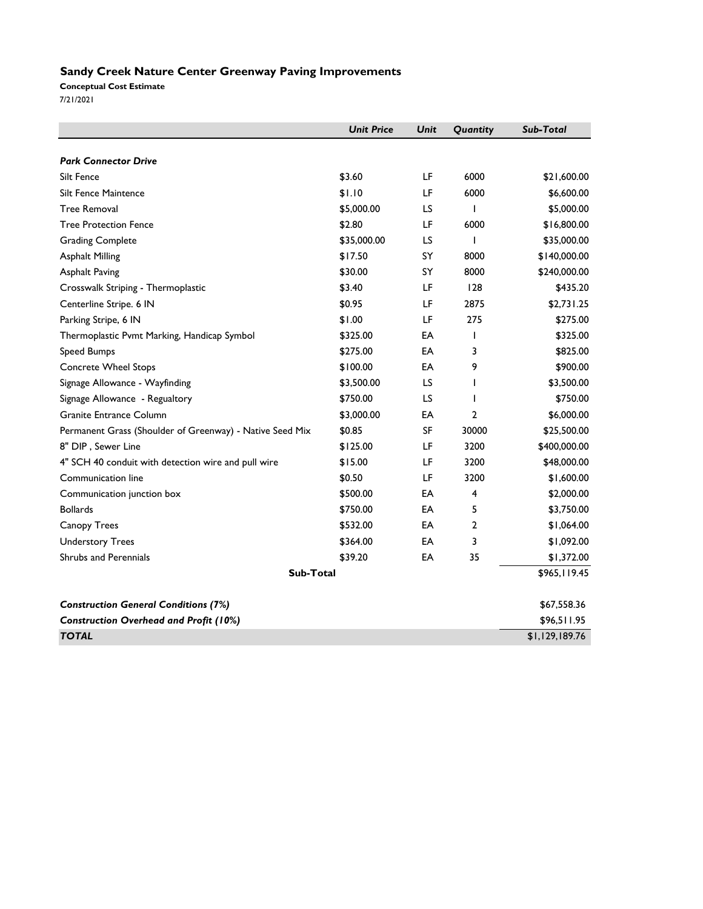#### **Sandy Creek Nature Center Greenway Paving Improvements**

**Conceptual Cost Estimate** 7/21/2021

|                                                          | <b>Unit Price</b> | Unit | Quantity       | Sub-Total      |
|----------------------------------------------------------|-------------------|------|----------------|----------------|
| <b>Park Connector Drive</b>                              |                   |      |                |                |
| Silt Fence                                               | \$3.60            | LF   | 6000           | \$21,600.00    |
| Silt Fence Maintence                                     | \$1.10            | LF   | 6000           | \$6,600.00     |
| <b>Tree Removal</b>                                      | \$5,000.00        | LS   | I              | \$5,000.00     |
| <b>Tree Protection Fence</b>                             | \$2.80            | LF   | 6000           | \$16,800.00    |
| <b>Grading Complete</b>                                  | \$35,000.00       | LS   | T              | \$35,000.00    |
| <b>Asphalt Milling</b>                                   | \$17.50           | SY   | 8000           | \$140,000.00   |
| <b>Asphalt Paving</b>                                    | \$30.00           | SY   | 8000           | \$240,000.00   |
| Crosswalk Striping - Thermoplastic                       | \$3.40            | LF   | 128            | \$435.20       |
| Centerline Stripe. 6 IN                                  | \$0.95            | LF   | 2875           | \$2,731.25     |
| Parking Stripe, 6 IN                                     | \$1.00            | LF   | 275            | \$275.00       |
| Thermoplastic Pvmt Marking, Handicap Symbol              | \$325.00          | EA   | T              | \$325.00       |
| <b>Speed Bumps</b>                                       | \$275.00          | EA   | 3              | \$825.00       |
| <b>Concrete Wheel Stops</b>                              | \$100.00          | EA   | 9              | \$900.00       |
| Signage Allowance - Wayfinding                           | \$3,500.00        | LS   | L              | \$3,500.00     |
| Signage Allowance - Regualtory                           | \$750.00          | LS   | 1              | \$750.00       |
| Granite Entrance Column                                  | \$3,000.00        | EA   | $\overline{2}$ | \$6,000.00     |
|                                                          |                   | SF   | 30000          |                |
| Permanent Grass (Shoulder of Greenway) - Native Seed Mix | \$0.85            |      |                | \$25,500.00    |
| 8" DIP, Sewer Line                                       | \$125.00          | LF   | 3200           | \$400,000.00   |
| 4" SCH 40 conduit with detection wire and pull wire      | \$15.00           | LF   | 3200           | \$48,000.00    |
| Communication line                                       | \$0.50            | LF   | 3200           | \$1,600.00     |
| Communication junction box                               | \$500.00          | EA   | 4              | \$2,000.00     |
| <b>Bollards</b>                                          | \$750.00          | EA   | 5              | \$3,750.00     |
| Canopy Trees                                             | \$532.00          | EA   | 2              | \$1,064.00     |
| <b>Understory Trees</b>                                  | \$364.00          | EA   | 3              | \$1,092.00     |
| <b>Shrubs and Perennials</b>                             | \$39.20           | EA   | 35             | \$1,372.00     |
| Sub-Total                                                |                   |      |                | \$965,119.45   |
| <b>Construction General Conditions (7%)</b>              |                   |      |                | \$67,558.36    |
| <b>Construction Overhead and Profit (10%)</b>            |                   |      |                | \$96,511.95    |
| <b>TOTAL</b>                                             |                   |      |                | \$1,129,189.76 |